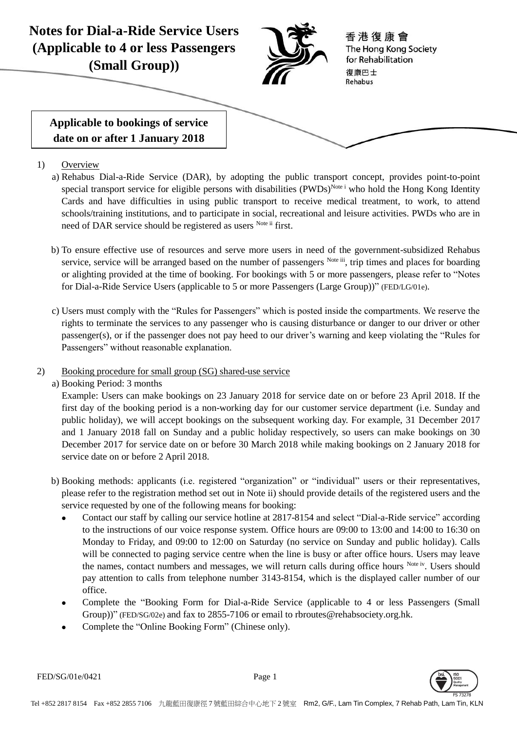

- 1) Overview
	- a) Rehabus Dial-a-Ride Service (DAR), by adopting the public transport concept, provides point-to-point special transport service for eligible persons with disabilities (PWDs)<sup>Note i</sup> who hold the Hong Kong Identity Cards and have difficulties in using public transport to receive medical treatment, to work, to attend schools/training institutions, and to participate in social, recreational and leisure activities. PWDs who are in need of DAR service should be registered as users Note ii first.
	- b) To ensure effective use of resources and serve more users in need of the government-subsidized Rehabus service, service will be arranged based on the number of passengers Note iii, trip times and places for boarding or alighting provided at the time of booking. For bookings with 5 or more passengers, please refer to "Notes for Dial-a-Ride Service Users (applicable to 5 or more Passengers (Large Group))" (FED/LG/01e).
	- c) Users must comply with the "Rules for Passengers" which is posted inside the compartments. We reserve the rights to terminate the services to any passenger who is causing disturbance or danger to our driver or other passenger(s), or if the passenger does not pay heed to our driver's warning and keep violating the "Rules for Passengers" without reasonable explanation.
- 2) Booking procedure for small group (SG) shared-use service
	- a) Booking Period: 3 months

Example: Users can make bookings on 23 January 2018 for service date on or before 23 April 2018. If the first day of the booking period is a non-working day for our customer service department (i.e. Sunday and public holiday), we will accept bookings on the subsequent working day. For example, 31 December 2017 and 1 January 2018 fall on Sunday and a public holiday respectively, so users can make bookings on 30 December 2017 for service date on or before 30 March 2018 while making bookings on 2 January 2018 for service date on or before 2 April 2018.

- b) Booking methods: applicants (i.e. registered "organization" or "individual" users or their representatives, please refer to the registration method set out in Note ii) should provide details of the registered users and the service requested by one of the following means for booking:
	- Contact our staff by calling our service hotline at 2817-8154 and select "Dial-a-Ride service" according to the instructions of our voice response system. Office hours are 09:00 to 13:00 and 14:00 to 16:30 on Monday to Friday, and 09:00 to 12:00 on Saturday (no service on Sunday and public holiday). Calls will be connected to paging service centre when the line is busy or after office hours. Users may leave the names, contact numbers and messages, we will return calls during office hours Note iv. Users should pay attention to calls from telephone number 3143-8154, which is the displayed caller number of our office.
	- Complete the "Booking Form for Dial-a-Ride Service (applicable to 4 or less Passengers (Small Group))" (FED/SG/02e) and fax to 2855-7106 or email to rbroutes@rehabsociety.org.hk.
	- Complete the "Online Booking Form" (Chinese only).

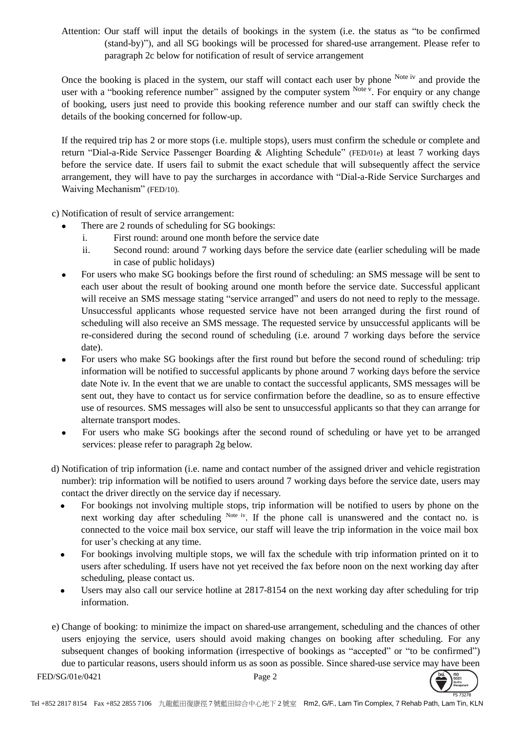Attention: Our staff will input the details of bookings in the system (i.e. the status as "to be confirmed (stand-by)"), and all SG bookings will be processed for shared-use arrangement. Please refer to paragraph 2c below for notification of result of service arrangement

Once the booking is placed in the system, our staff will contact each user by phone Note iv and provide the user with a "booking reference number" assigned by the computer system Note v. For enquiry or any change of booking, users just need to provide this booking reference number and our staff can swiftly check the details of the booking concerned for follow-up.

If the required trip has 2 or more stops (i.e. multiple stops), users must confirm the schedule or complete and return "Dial-a-Ride Service Passenger Boarding & Alighting Schedule" (FED/01e) at least 7 working days before the service date. If users fail to submit the exact schedule that will subsequently affect the service arrangement, they will have to pay the surcharges in accordance with "Dial-a-Ride Service Surcharges and Waiving Mechanism" (FED/10).

c) Notification of result of service arrangement:

- There are 2 rounds of scheduling for SG bookings:
	- i. First round: around one month before the service date
	- ii. Second round: around 7 working days before the service date (earlier scheduling will be made in case of public holidays)
- For users who make SG bookings before the first round of scheduling: an SMS message will be sent to each user about the result of booking around one month before the service date. Successful applicant will receive an SMS message stating "service arranged" and users do not need to reply to the message. Unsuccessful applicants whose requested service have not been arranged during the first round of scheduling will also receive an SMS message. The requested service by unsuccessful applicants will be re-considered during the second round of scheduling (i.e. around 7 working days before the service date).
- For users who make SG bookings after the first round but before the second round of scheduling: trip information will be notified to successful applicants by phone around 7 working days before the service date Note iv. In the event that we are unable to contact the successful applicants, SMS messages will be sent out, they have to contact us for service confirmation before the deadline, so as to ensure effective use of resources. SMS messages will also be sent to unsuccessful applicants so that they can arrange for alternate transport modes.
- For users who make SG bookings after the second round of scheduling or have yet to be arranged services: please refer to paragraph 2g below.
- d) Notification of trip information (i.e. name and contact number of the assigned driver and vehicle registration number): trip information will be notified to users around 7 working days before the service date, users may contact the driver directly on the service day if necessary.
	- For bookings not involving multiple stops, trip information will be notified to users by phone on the next working day after scheduling Note iv. If the phone call is unanswered and the contact no. is connected to the voice mail box service, our staff will leave the trip information in the voice mail box for user's checking at any time.
	- For bookings involving multiple stops, we will fax the schedule with trip information printed on it to users after scheduling. If users have not yet received the fax before noon on the next working day after scheduling, please contact us.
	- Users may also call our service hotline at 2817-8154 on the next working day after scheduling for trip information.
- e) Change of booking: to minimize the impact on shared-use arrangement, scheduling and the chances of other users enjoying the service, users should avoid making changes on booking after scheduling. For any subsequent changes of booking information (irrespective of bookings as "accepted" or "to be confirmed") due to particular reasons, users should inform us as soon as possible. Since shared-use service may have been

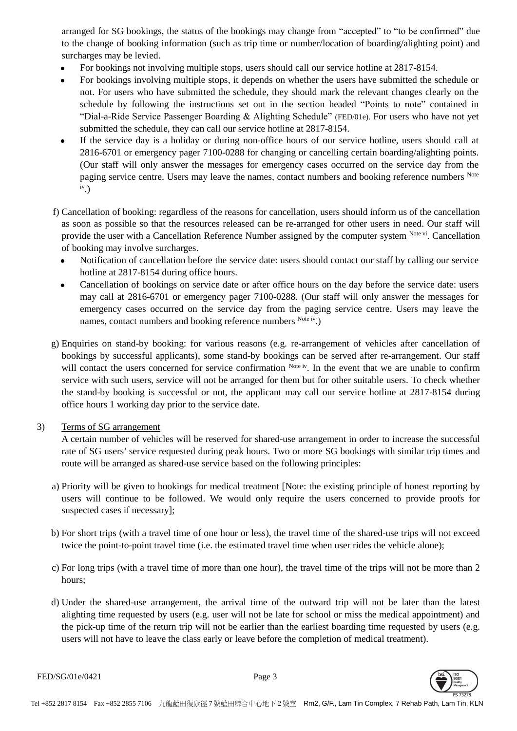arranged for SG bookings, the status of the bookings may change from "accepted" to "to be confirmed" due to the change of booking information (such as trip time or number/location of boarding/alighting point) and surcharges may be levied.

- For bookings not involving multiple stops, users should call our service hotline at 2817-8154.
- For bookings involving multiple stops, it depends on whether the users have submitted the schedule or not. For users who have submitted the schedule, they should mark the relevant changes clearly on the schedule by following the instructions set out in the section headed "Points to note" contained in "Dial-a-Ride Service Passenger Boarding & Alighting Schedule" (FED/01e). For users who have not yet submitted the schedule, they can call our service hotline at 2817-8154.
- If the service day is a holiday or during non-office hours of our service hotline, users should call at 2816-6701 or emergency pager 7100-0288 for changing or cancelling certain boarding/alighting points. (Our staff will only answer the messages for emergency cases occurred on the service day from the paging service centre. Users may leave the names, contact numbers and booking reference numbers Note iv .)
- f) Cancellation of booking: regardless of the reasons for cancellation, users should inform us of the cancellation as soon as possible so that the resources released can be re-arranged for other users in need. Our staff will provide the user with a Cancellation Reference Number assigned by the computer system Note vi. Cancellation of booking may involve surcharges.
	- Notification of cancellation before the service date: users should contact our staff by calling our service hotline at 2817-8154 during office hours.
	- Cancellation of bookings on service date or after office hours on the day before the service date: users may call at 2816-6701 or emergency pager 7100-0288. (Our staff will only answer the messages for emergency cases occurred on the service day from the paging service centre. Users may leave the names, contact numbers and booking reference numbers Note iv.)
- g) Enquiries on stand-by booking: for various reasons (e.g. re-arrangement of vehicles after cancellation of bookings by successful applicants), some stand-by bookings can be served after re-arrangement. Our staff will contact the users concerned for service confirmation Note iv. In the event that we are unable to confirm service with such users, service will not be arranged for them but for other suitable users. To check whether the stand-by booking is successful or not, the applicant may call our service hotline at 2817-8154 during office hours 1 working day prior to the service date.

### 3) Terms of SG arrangement

A certain number of vehicles will be reserved for shared-use arrangement in order to increase the successful rate of SG users' service requested during peak hours. Two or more SG bookings with similar trip times and route will be arranged as shared-use service based on the following principles:

- a) Priority will be given to bookings for medical treatment [Note: the existing principle of honest reporting by users will continue to be followed. We would only require the users concerned to provide proofs for suspected cases if necessary];
- b) For short trips (with a travel time of one hour or less), the travel time of the shared-use trips will not exceed twice the point-to-point travel time (i.e. the estimated travel time when user rides the vehicle alone);
- c) For long trips (with a travel time of more than one hour), the travel time of the trips will not be more than 2 hours;
- d) Under the shared-use arrangement, the arrival time of the outward trip will not be later than the latest alighting time requested by users (e.g. user will not be late for school or miss the medical appointment) and the pick-up time of the return trip will not be earlier than the earliest boarding time requested by users (e.g. users will not have to leave the class early or leave before the completion of medical treatment).

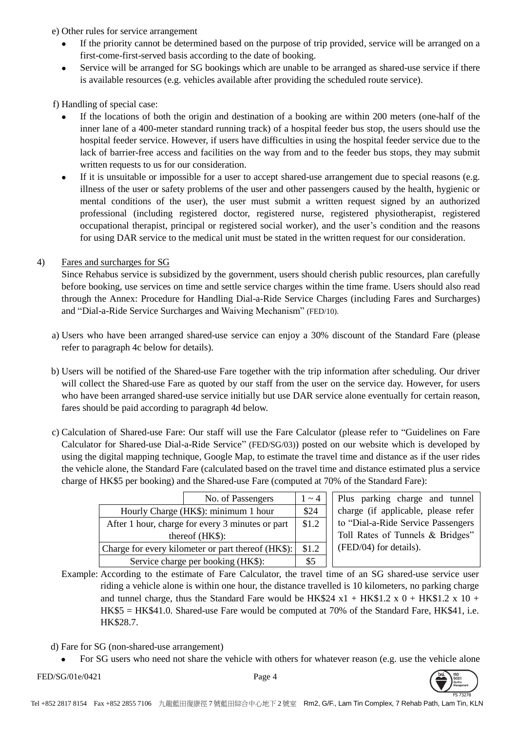e) Other rules for service arrangement

- If the priority cannot be determined based on the purpose of trip provided, service will be arranged on a first-come-first-served basis according to the date of booking.
- Service will be arranged for SG bookings which are unable to be arranged as shared-use service if there is available resources (e.g. vehicles available after providing the scheduled route service).

f) Handling of special case:

- If the locations of both the origin and destination of a booking are within 200 meters (one-half of the inner lane of a 400-meter standard running track) of a hospital feeder bus stop, the users should use the hospital feeder service. However, if users have difficulties in using the hospital feeder service due to the lack of barrier-free access and facilities on the way from and to the feeder bus stops, they may submit written requests to us for our consideration.
- If it is unsuitable or impossible for a user to accept shared-use arrangement due to special reasons (e.g. illness of the user or safety problems of the user and other passengers caused by the health, hygienic or mental conditions of the user), the user must submit a written request signed by an authorized professional (including registered doctor, registered nurse, registered physiotherapist, registered occupational therapist, principal or registered social worker), and the user's condition and the reasons for using DAR service to the medical unit must be stated in the written request for our consideration.

# 4) Fares and surcharges for SG

Since Rehabus service is subsidized by the government, users should cherish public resources, plan carefully before booking, use services on time and settle service charges within the time frame. Users should also read through the Annex: Procedure for Handling Dial-a-Ride Service Charges (including Fares and Surcharges) and "Dial-a-Ride Service Surcharges and Waiving Mechanism" (FED/10).

- a) Users who have been arranged shared-use service can enjoy a 30% discount of the Standard Fare (please refer to paragraph 4c below for details).
- b) Users will be notified of the Shared-use Fare together with the trip information after scheduling. Our driver will collect the Shared-use Fare as quoted by our staff from the user on the service day. However, for users who have been arranged shared-use service initially but use DAR service alone eventually for certain reason, fares should be paid according to paragraph 4d below.
- c) Calculation of Shared-use Fare: Our staff will use the Fare Calculator (please refer to "Guidelines on Fare Calculator for Shared-use Dial-a-Ride Service" (FED/SG/03)) posted on our website which is developed by using the digital mapping technique, Google Map, to estimate the travel time and distance as if the user rides the vehicle alone, the Standard Fare (calculated based on the travel time and distance estimated plus a service charge of HK\$5 per booking) and the Shared-use Fare (computed at 70% of the Standard Fare):

|                                                    | No. of Passengers | $1 \sim 4$ |
|----------------------------------------------------|-------------------|------------|
| Hourly Charge (HK\$): minimum 1 hour               |                   | \$24       |
| After 1 hour, charge for every 3 minutes or part   |                   | \$1.2      |
| thereof (HK\$):                                    |                   |            |
| Charge for every kilometer or part thereof (HK\$): |                   | \$1.2      |
| Service charge per booking (HK\$):                 |                   | \$5        |

Plus parking charge and tunnel charge (if applicable, please refer to "Dial-a-Ride Service Passengers Toll Rates of Tunnels & Bridges" (FED/04) for details).

Example: According to the estimate of Fare Calculator, the travel time of an SG shared-use service user riding a vehicle alone is within one hour, the distance travelled is 10 kilometers, no parking charge and tunnel charge, thus the Standard Fare would be HK\$24 x1 + HK\$1.2 x 0 + HK\$1.2 x 10 + HK\$5 = HK\$41.0. Shared-use Fare would be computed at 70% of the Standard Fare, HK\$41, i.e. HK\$28.7.

- d) Fare for SG (non-shared-use arrangement)
	- For SG users who need not share the vehicle with others for whatever reason (e.g. use the vehicle alone
- FED/SG/01e/0421 Page 4

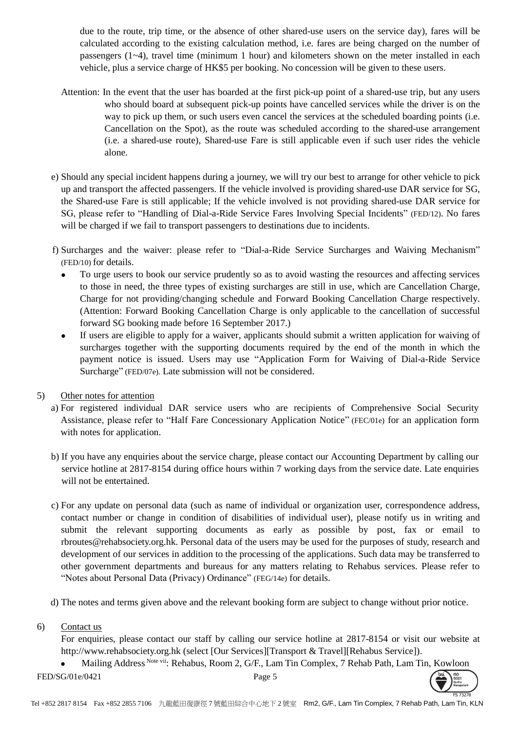due to the route, trip time, or the absence of other shared-use users on the service day), fares will be calculated according to the existing calculation method, i.e. fares are being charged on the number of passengers  $(1-4)$ , travel time (minimum 1 hour) and kilometers shown on the meter installed in each vehicle, plus a service charge of HK\$5 per booking. No concession will be given to these users.

- Attention: In the event that the user has boarded at the first pick-up point of a shared-use trip, but any users who should board at subsequent pick-up points have cancelled services while the driver is on the way to pick up them, or such users even cancel the services at the scheduled boarding points (i.e. Cancellation on the Spot), as the route was scheduled according to the shared-use arrangement (i.e. a shared-use route), Shared-use Fare is still applicable even if such user rides the vehicle alone.
- e) Should any special incident happens during a journey, we will try our best to arrange for other vehicle to pick up and transport the affected passengers. If the vehicle involved is providing shared-use DAR service for SG, the Shared-use Fare is still applicable; If the vehicle involved is not providing shared-use DAR service for SG, please refer to "Handling of Dial-a-Ride Service Fares Involving Special Incidents" (FED/12). No fares will be charged if we fail to transport passengers to destinations due to incidents.
- f) Surcharges and the waiver: please refer to "Dial-a-Ride Service Surcharges and Waiving Mechanism" (FED/10) for details.
	- To urge users to book our service prudently so as to avoid wasting the resources and affecting services to those in need, the three types of existing surcharges are still in use, which are Cancellation Charge, Charge for not providing/changing schedule and Forward Booking Cancellation Charge respectively. (Attention: Forward Booking Cancellation Charge is only applicable to the cancellation of successful forward SG booking made before 16 September 2017.)
	- If users are eligible to apply for a waiver, applicants should submit a written application for waiving of surcharges together with the supporting documents required by the end of the month in which the payment notice is issued. Users may use "Application Form for Waiving of Dial-a-Ride Service Surcharge" (FED/07e). Late submission will not be considered.
- 5) Other notes for attention
	- a) For registered individual DAR service users who are recipients of Comprehensive Social Security Assistance, please refer to "Half Fare Concessionary Application Notice" (FEC/01e) for an application form with notes for application.
	- b) If you have any enquiries about the service charge, please contact our Accounting Department by calling our service hotline at 2817-8154 during office hours within 7 working days from the service date. Late enquiries will not be entertained.
	- c) For any update on personal data (such as name of individual or organization user, correspondence address, contact number or change in condition of disabilities of individual user), please notify us in writing and submit the relevant supporting documents as early as possible by post, fax or email to rbroutes@rehabsociety.org.hk. Personal data of the users may be used for the purposes of study, research and development of our services in addition to the processing of the applications. Such data may be transferred to other government departments and bureaus for any matters relating to Rehabus services. Please refer to "Notes about Personal Data (Privacy) Ordinance" (FEG/14e) for details.
	- d) The notes and terms given above and the relevant booking form are subject to change without prior notice.
- 6) Contact us

For enquiries, please contact our staff by calling our service hotline at 2817-8154 or visit our website at http://www.rehabsociety.org.hk (select [Our Services][Transport & Travel][Rehabus Service]).

• Mailing Address Note vii: Rehabus, Room 2, G/F., Lam Tin Complex, 7 Rehab Path, Lam Tin, Kowloon

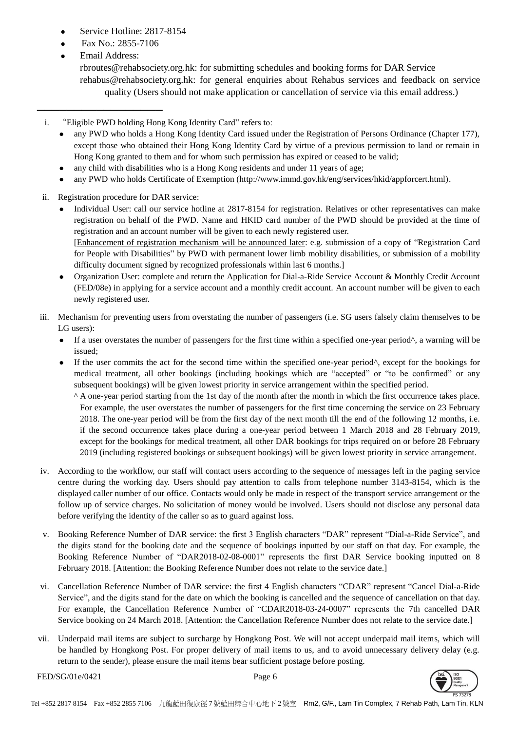- Service Hotline: 2817-8154
- Fax No.: 2855-7106
- Email Address:

─────────────────

rbroutes@rehabsociety.org.hk: for submitting schedules and booking forms for DAR Service rehabus@rehabsociety.org.hk: for general enquiries about Rehabus services and feedback on service quality (Users should not make application or cancellation of service via this email address.)

i. "Eligible PWD holding Hong Kong Identity Card" refers to:

- any PWD who holds a Hong Kong Identity Card issued under the Registration of Persons Ordinance (Chapter 177), except those who obtained their Hong Kong Identity Card by virtue of a previous permission to land or remain in Hong Kong granted to them and for whom such permission has expired or ceased to be valid;
- any child with disabilities who is a Hong Kong residents and under 11 years of age;
- any PWD who holds Certificate of Exemption (http://www.immd.gov.hk/eng/services/hkid/appforcert.html).
- ii. Registration procedure for DAR service:
	- Individual User: call our service hotline at 2817-8154 for registration. Relatives or other representatives can make registration on behalf of the PWD. Name and HKID card number of the PWD should be provided at the time of registration and an account number will be given to each newly registered user. [Enhancement of registration mechanism will be announced later: e.g. submission of a copy of "Registration Card for People with Disabilities" by PWD with permanent lower limb mobility disabilities, or submission of a mobility
	- difficulty document signed by recognized professionals within last 6 months.] Organization User: complete and return the Application for Dial-a-Ride Service Account & Monthly Credit Account (FED/08e) in applying for a service account and a monthly credit account. An account number will be given to each newly registered user.
- iii. Mechanism for preventing users from overstating the number of passengers (i.e. SG users falsely claim themselves to be LG users):
	- If a user overstates the number of passengers for the first time within a specified one-year period^, a warning will be issued;
	- If the user commits the act for the second time within the specified one-year period^, except for the bookings for medical treatment, all other bookings (including bookings which are "accepted" or "to be confirmed" or any subsequent bookings) will be given lowest priority in service arrangement within the specified period.
		- ^ A one-year period starting from the 1st day of the month after the month in which the first occurrence takes place. For example, the user overstates the number of passengers for the first time concerning the service on 23 February 2018. The one-year period will be from the first day of the next month till the end of the following 12 months, i.e. if the second occurrence takes place during a one-year period between 1 March 2018 and 28 February 2019, except for the bookings for medical treatment, all other DAR bookings for trips required on or before 28 February 2019 (including registered bookings or subsequent bookings) will be given lowest priority in service arrangement.
- iv. According to the workflow, our staff will contact users according to the sequence of messages left in the paging service centre during the working day. Users should pay attention to calls from telephone number 3143-8154, which is the displayed caller number of our office. Contacts would only be made in respect of the transport service arrangement or the follow up of service charges. No solicitation of money would be involved. Users should not disclose any personal data before verifying the identity of the caller so as to guard against loss.
- v. Booking Reference Number of DAR service: the first 3 English characters "DAR" represent "Dial-a-Ride Service", and the digits stand for the booking date and the sequence of bookings inputted by our staff on that day. For example, the Booking Reference Number of "DAR2018-02-08-0001" represents the first DAR Service booking inputted on 8 February 2018. [Attention: the Booking Reference Number does not relate to the service date.]
- vi. Cancellation Reference Number of DAR service: the first 4 English characters "CDAR" represent "Cancel Dial-a-Ride Service", and the digits stand for the date on which the booking is cancelled and the sequence of cancellation on that day. For example, the Cancellation Reference Number of "CDAR2018-03-24-0007" represents the 7th cancelled DAR Service booking on 24 March 2018. [Attention: the Cancellation Reference Number does not relate to the service date.]
- vii. Underpaid mail items are subject to surcharge by Hongkong Post. We will not accept underpaid mail items, which will be handled by Hongkong Post. For proper delivery of mail items to us, and to avoid unnecessary delivery delay (e.g. return to the sender), please ensure the mail items bear sufficient postage before posting.



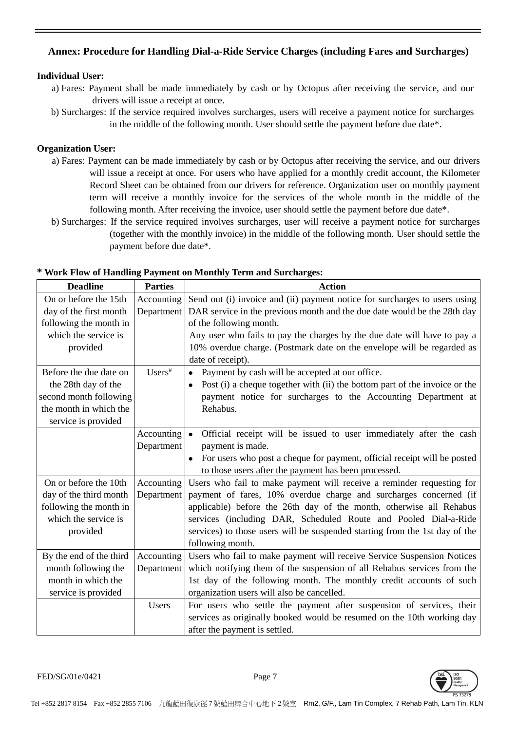# **Annex: Procedure for Handling Dial-a-Ride Service Charges (including Fares and Surcharges)**

## **Individual User:**

- a) Fares: Payment shall be made immediately by cash or by Octopus after receiving the service, and our drivers will issue a receipt at once.
- b) Surcharges: If the service required involves surcharges, users will receive a payment notice for surcharges in the middle of the following month. User should settle the payment before due date\*.

## **Organization User:**

- a) Fares: Payment can be made immediately by cash or by Octopus after receiving the service, and our drivers will issue a receipt at once. For users who have applied for a monthly credit account, the Kilometer Record Sheet can be obtained from our drivers for reference. Organization user on monthly payment term will receive a monthly invoice for the services of the whole month in the middle of the following month. After receiving the invoice, user should settle the payment before due date\*.
- b) Surcharges: If the service required involves surcharges, user will receive a payment notice for surcharges (together with the monthly invoice) in the middle of the following month. User should settle the payment before due date\*.

| <b>Deadline</b>         | <b>Parties</b> | <b>Action</b>                                                                   |  |
|-------------------------|----------------|---------------------------------------------------------------------------------|--|
| On or before the 15th   | Accounting     | Send out (i) invoice and (ii) payment notice for surcharges to users using      |  |
| day of the first month  | Department     | DAR service in the previous month and the due date would be the 28th day        |  |
| following the month in  |                | of the following month.                                                         |  |
| which the service is    |                | Any user who fails to pay the charges by the due date will have to pay a        |  |
| provided                |                | 10% overdue charge. (Postmark date on the envelope will be regarded as          |  |
|                         |                | date of receipt).                                                               |  |
| Before the due date on  | $Users^*$      | Payment by cash will be accepted at our office.<br>$\bullet$                    |  |
| the 28th day of the     |                | Post (i) a cheque together with (ii) the bottom part of the invoice or the      |  |
| second month following  |                | payment notice for surcharges to the Accounting Department at                   |  |
| the month in which the  |                | Rehabus.                                                                        |  |
| service is provided     |                |                                                                                 |  |
|                         | Accounting     | Official receipt will be issued to user immediately after the cash<br>$\bullet$ |  |
|                         | Department     | payment is made.                                                                |  |
|                         |                | For users who post a cheque for payment, official receipt will be posted        |  |
|                         |                | to those users after the payment has been processed.                            |  |
| On or before the 10th   | Accounting     | Users who fail to make payment will receive a reminder requesting for           |  |
| day of the third month  | Department     | payment of fares, 10% overdue charge and surcharges concerned (if               |  |
| following the month in  |                | applicable) before the 26th day of the month, otherwise all Rehabus             |  |
| which the service is    |                | services (including DAR, Scheduled Route and Pooled Dial-a-Ride                 |  |
| provided                |                | services) to those users will be suspended starting from the 1st day of the     |  |
|                         |                | following month.                                                                |  |
| By the end of the third | Accounting     | Users who fail to make payment will receive Service Suspension Notices          |  |
| month following the     | Department     | which notifying them of the suspension of all Rehabus services from the         |  |
| month in which the      |                | 1st day of the following month. The monthly credit accounts of such             |  |
| service is provided     |                | organization users will also be cancelled.                                      |  |
|                         | Users          | For users who settle the payment after suspension of services, their            |  |
|                         |                | services as originally booked would be resumed on the 10th working day          |  |
|                         |                | after the payment is settled.                                                   |  |

### **\* Work Flow of Handling Payment on Monthly Term and Surcharges:**